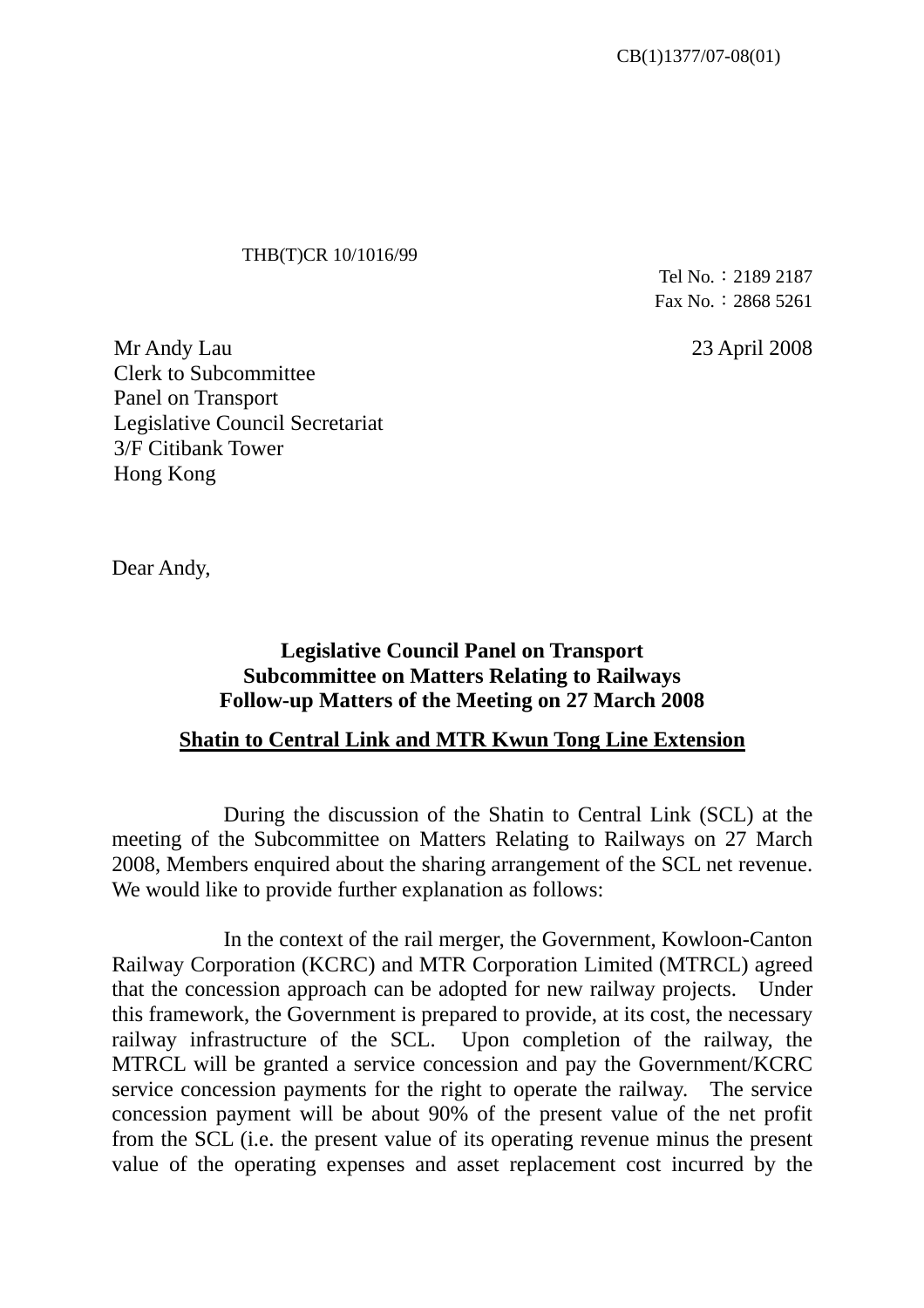## THB(T)CR 10/1016/99

Tel No.︰2189 2187 Fax No.︰2868 5261

23 April 2008

Mr Andy Lau Clerk to Subcommittee Panel on Transport Legislative Council Secretariat 3/F Citibank Tower Hong Kong

Dear Andy,

## **Legislative Council Panel on Transport Subcommittee on Matters Relating to Railways Follow-up Matters of the Meeting on 27 March 2008**

## **Shatin to Central Link and MTR Kwun Tong Line Extension**

 During the discussion of the Shatin to Central Link (SCL) at the meeting of the Subcommittee on Matters Relating to Railways on 27 March 2008, Members enquired about the sharing arrangement of the SCL net revenue. We would like to provide further explanation as follows:

 In the context of the rail merger, the Government, Kowloon-Canton Railway Corporation (KCRC) and MTR Corporation Limited (MTRCL) agreed that the concession approach can be adopted for new railway projects. Under this framework, the Government is prepared to provide, at its cost, the necessary railway infrastructure of the SCL. Upon completion of the railway, the MTRCL will be granted a service concession and pay the Government/KCRC service concession payments for the right to operate the railway. The service concession payment will be about 90% of the present value of the net profit from the SCL (i.e. the present value of its operating revenue minus the present value of the operating expenses and asset replacement cost incurred by the